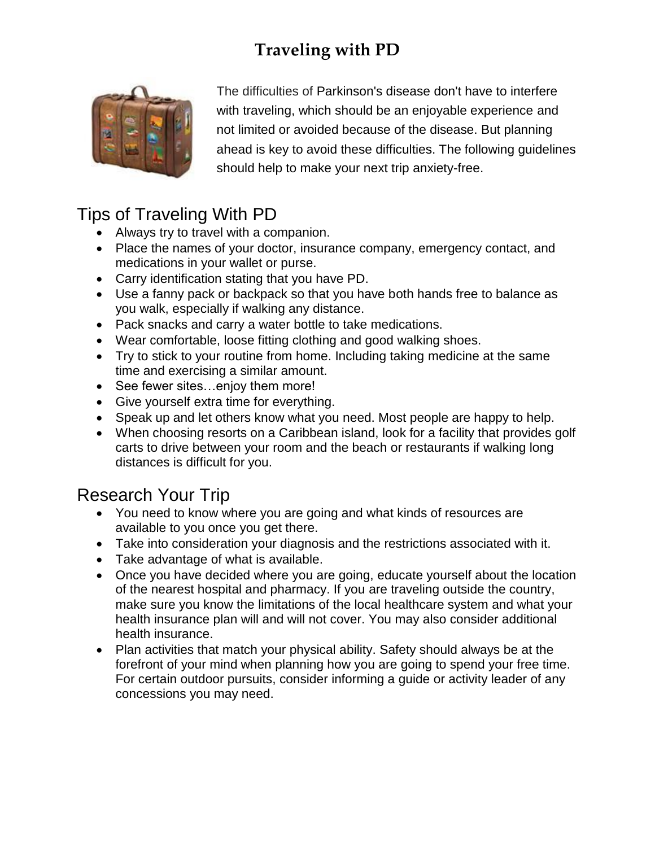

The difficulties of [Parkinson's disease](http://www.webmd.com/parkinsons-disease/default.htm) don't have to interfere with traveling, which should be an enjoyable experience and not limited or avoided because of the disease. But planning ahead is key to avoid these difficulties. The following guidelines should help to make your next trip [anxiety-](http://www.webmd.com/anxiety-panic/default.htm)free.

### Tips of Traveling With PD

- Always try to travel with a companion.
- Place the names of your doctor, insurance company, emergency contact, and medications in your wallet or purse.
- Carry identification stating that you have PD.
- Use a fanny pack or backpack so that you have both hands free to balance as you walk, especially if walking any distance.
- Pack snacks and carry a water bottle to take medications.
- Wear comfortable, loose fitting clothing and good walking shoes.
- Try to stick to your routine from home. Including taking medicine at the same time and exercising a similar amount.
- See fewer sites...enjoy them more!
- Give yourself extra time for everything.
- Speak up and let others know what you need. Most people are happy to help.
- When choosing resorts on a Caribbean island, look for a facility that provides golf carts to drive between your room and the beach or restaurants if walking long distances is difficult for you.

### Research Your Trip

- You need to know where you are going and what kinds of resources are available to you once you get there.
- Take into consideration your diagnosis and the restrictions associated with it.
- Take advantage of what is available.
- Once you have decided where you are going, educate yourself about the location of the nearest hospital and pharmacy. If you are traveling outside the country, make sure you know the limitations of the local healthcare system and what your health insurance plan will and will not cover. You may also consider additional health insurance.
- Plan activities that match your physical ability. Safety should always be at the forefront of your mind when planning how you are going to spend your free time. For certain outdoor pursuits, consider informing a guide or activity leader of any concessions you may need.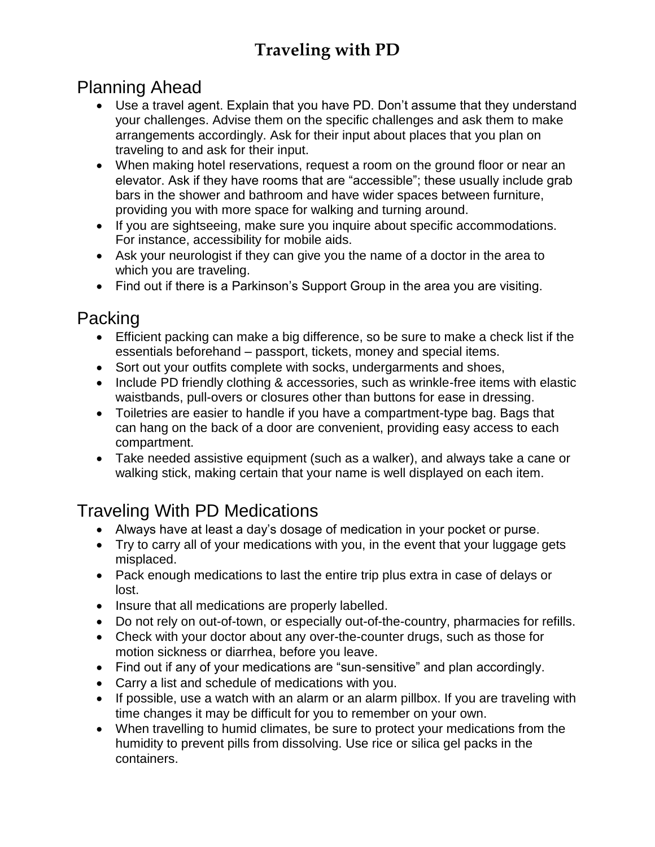### Planning Ahead

- Use a travel agent. Explain that you have PD. Don't assume that they understand your challenges. Advise them on the specific challenges and ask them to make arrangements accordingly. Ask for their input about places that you plan on traveling to and ask for their input.
- When making hotel reservations, request a room on the ground floor or near an elevator. Ask if they have rooms that are "accessible"; these usually include grab bars in the shower and bathroom and have wider spaces between furniture, providing you with more space for walking and turning around.
- If you are sightseeing, make sure you inquire about specific accommodations. For instance, accessibility for mobile aids.
- Ask your neurologist if they can give you the name of a doctor in the area to which you are traveling.
- Find out if there is a Parkinson's Support Group in the area you are visiting.

### Packing

- Efficient packing can make a big difference, so be sure to make a check list if the essentials beforehand – passport, tickets, money and special items.
- Sort out your outfits complete with socks, undergarments and shoes,
- Include PD friendly clothing & accessories, such as wrinkle-free items with elastic waistbands, pull-overs or closures other than buttons for ease in dressing.
- Toiletries are easier to handle if you have a compartment-type bag. Bags that can hang on the back of a door are convenient, providing easy access to each compartment.
- Take needed assistive equipment (such as a walker), and always take a cane or walking stick, making certain that your name is well displayed on each item.

## Traveling With PD Medications

- Always have at least a day's dosage of medication in your pocket or purse.
- Try to carry all of your medications with you, in the event that your luggage gets misplaced.
- Pack enough medications to last the entire trip plus extra in case of delays or lost.
- Insure that all medications are properly labelled.
- Do not rely on out-of-town, or especially out-of-the-country, pharmacies for refills.
- Check with your doctor about any over-the-counter drugs, such as those for motion sickness or diarrhea, before you leave.
- Find out if any of your medications are "sun-sensitive" and plan accordingly.
- Carry a list and schedule of medications with you.
- If possible, use a watch with an alarm or an alarm pillbox. If you are traveling with time changes it may be difficult for you to remember on your own.
- When travelling to humid climates, be sure to protect your medications from the humidity to prevent pills from dissolving. Use rice or silica gel packs in the containers.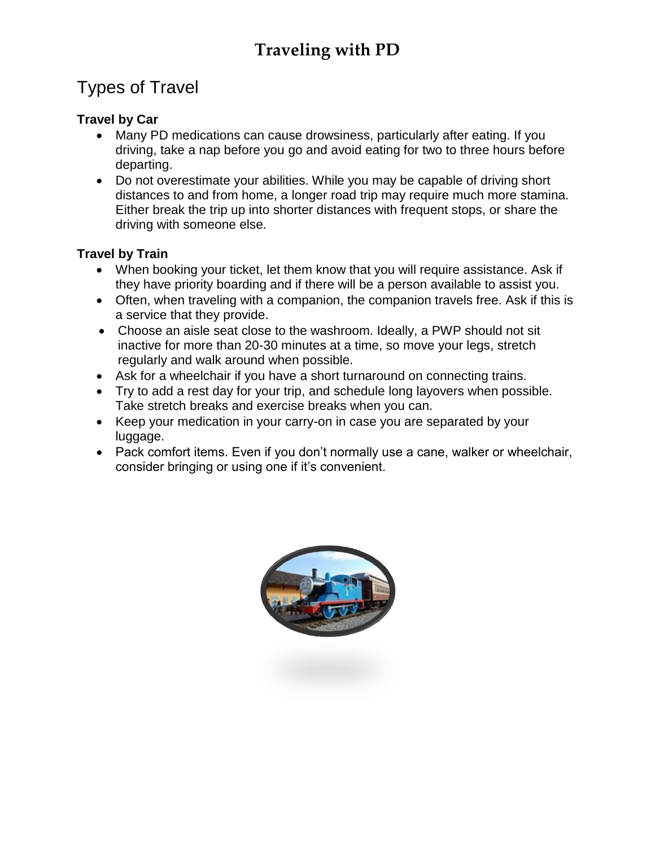### Types of Travel

#### **Travel by Car**

- Many PD medications can cause drowsiness, particularly after eating. If you driving, take a nap before you go and avoid eating for two to three hours before departing.
- Do not overestimate your abilities. While you may be capable of driving short distances to and from home, a longer road trip may require much more stamina. Either break the trip up into shorter distances with frequent stops, or share the driving with someone else.

#### **Travel by Train**

- When booking your ticket, let them know that you will require assistance. Ask if they have priority boarding and if there will be a person available to assist you.
- Often, when traveling with a companion, the companion travels free. Ask if this is a service that they provide.
- Choose an aisle seat close to the washroom. Ideally, a PWP should not sit inactive for more than 20-30 minutes at a time, so move your legs, stretch regularly and walk around when possible.
- Ask for a wheelchair if you have a short turnaround on connecting trains.
- Try to add a rest day for your trip, and schedule long layovers when possible. Take stretch breaks and exercise breaks when you can.
- Keep your medication in your carry-on in case you are separated by your luggage.
- Pack comfort items. Even if you don't normally use a cane, walker or wheelchair, consider bringing or using one if it's convenient.

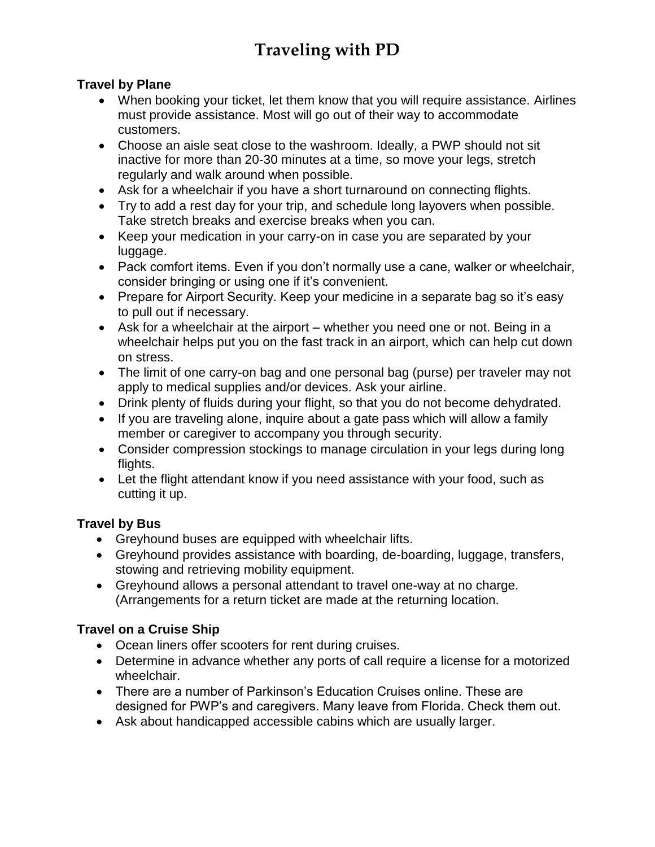#### **Travel by Plane**

- When booking your ticket, let them know that you will require assistance. Airlines must provide assistance. Most will go out of their way to accommodate customers.
- Choose an aisle seat close to the washroom. Ideally, a PWP should not sit inactive for more than 20-30 minutes at a time, so move your legs, stretch regularly and walk around when possible.
- Ask for a wheelchair if you have a short turnaround on connecting flights.
- Try to add a rest day for your trip, and schedule long layovers when possible. Take stretch breaks and exercise breaks when you can.
- Keep your medication in your carry-on in case you are separated by your luggage.
- Pack comfort items. Even if you don't normally use a cane, walker or wheelchair, consider bringing or using one if it's convenient.
- Prepare for Airport Security. Keep your medicine in a separate bag so it's easy to pull out if necessary.
- Ask for a wheelchair at the airport whether you need one or not. Being in a wheelchair helps put you on the fast track in an airport, which can help cut down on stress.
- The limit of one carry-on bag and one personal bag (purse) per traveler may not apply to medical supplies and/or devices. Ask your airline.
- Drink plenty of fluids during your flight, so that you do not become dehydrated.
- If you are traveling alone, inquire about a gate pass which will allow a family member or caregiver to accompany you through security.
- Consider compression stockings to manage circulation in your legs during long flights.
- Let the flight attendant know if you need assistance with your food, such as cutting it up.

#### **Travel by Bus**

- Greyhound buses are equipped with wheelchair lifts.
- Greyhound provides assistance with boarding, de-boarding, luggage, transfers, stowing and retrieving mobility equipment.
- Greyhound allows a personal attendant to travel one-way at no charge. (Arrangements for a return ticket are made at the returning location.

#### **Travel on a Cruise Ship**

- Ocean liners offer scooters for rent during cruises.
- Determine in advance whether any ports of call require a license for a motorized wheelchair.
- There are a number of Parkinson's Education Cruises online. These are designed for PWP's and caregivers. Many leave from Florida. Check them out.
- Ask about handicapped accessible cabins which are usually larger.